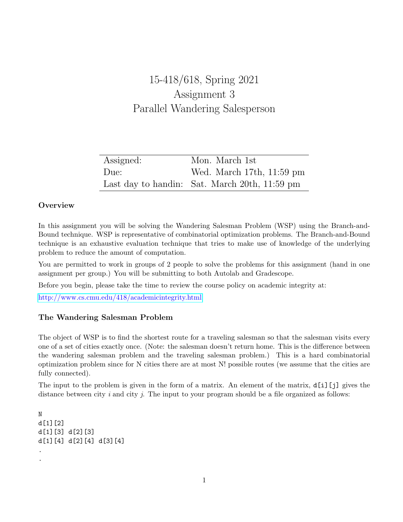# 15-418/618, Spring 2021 Assignment 3 Parallel Wandering Salesperson

| Assigned: | Mon. March 1st                                |
|-----------|-----------------------------------------------|
| Due:      | Wed. March 17th, $11:59$ pm                   |
|           | Last day to handin: Sat. March 20th, 11:59 pm |

## **Overview**

In this assignment you will be solving the Wandering Salesman Problem (WSP) using the Branch-and-Bound technique. WSP is representative of combinatorial optimization problems. The Branch-and-Bound technique is an exhaustive evaluation technique that tries to make use of knowledge of the underlying problem to reduce the amount of computation.

You are permitted to work in groups of 2 people to solve the problems for this assignment (hand in one assignment per group.) You will be submitting to both Autolab and Gradescope.

Before you begin, please take the time to review the course policy on academic integrity at:

[http://www.cs.cmu.edu/418/academicintegrity.html](http://www.cs.cmu.edu/afs/cs.cmu.edu/academic/class/15418-f20/www/academicintegrity.html)

## The Wandering Salesman Problem

The object of WSP is to find the shortest route for a traveling salesman so that the salesman visits every one of a set of cities exactly once. (Note: the salesman doesn't return home. This is the difference between the wandering salesman problem and the traveling salesman problem.) This is a hard combinatorial optimization problem since for N cities there are at most N! possible routes (we assume that the cities are fully connected).

The input to the problem is given in the form of a matrix. An element of the matrix, d[i][j] gives the distance between city  $i$  and city  $j$ . The input to your program should be a file organized as follows:

```
N
d[1][2]
d[1][3] d[2][3]
d[1][4] d[2][4] d[3][4]
.
.
```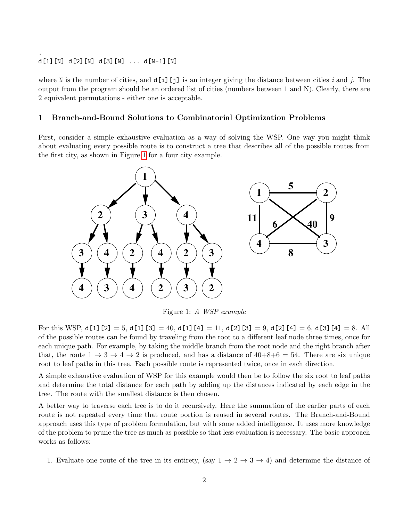## d[1][N] d[2][N] d[3][N] ... d[N-1][N]

.

where N is the number of cities, and  $d[i][j]$  is an integer giving the distance between cities i and j. The output from the program should be an ordered list of cities (numbers between 1 and N). Clearly, there are 2 equivalent permutations - either one is acceptable.

### 1 Branch-and-Bound Solutions to Combinatorial Optimization Problems

First, consider a simple exhaustive evaluation as a way of solving the WSP. One way you might think about evaluating every possible route is to construct a tree that describes all of the possible routes from the first city, as shown in Figure [1](#page-1-0) for a four city example.



<span id="page-1-0"></span>Figure 1: A WSP example

For this WSP,  $d[1][2] = 5$ ,  $d[1][3] = 40$ ,  $d[1][4] = 11$ ,  $d[2][3] = 9$ ,  $d[2][4] = 6$ ,  $d[3][4] = 8$ . All of the possible routes can be found by traveling from the root to a different leaf node three times, once for each unique path. For example, by taking the middle branch from the root node and the right branch after that, the route  $1 \rightarrow 3 \rightarrow 4 \rightarrow 2$  is produced, and has a distance of  $40+8+6=54$ . There are six unique root to leaf paths in this tree. Each possible route is represented twice, once in each direction.

A simple exhaustive evaluation of WSP for this example would then be to follow the six root to leaf paths and determine the total distance for each path by adding up the distances indicated by each edge in the tree. The route with the smallest distance is then chosen.

A better way to traverse each tree is to do it recursively. Here the summation of the earlier parts of each route is not repeated every time that route portion is reused in several routes. The Branch-and-Bound approach uses this type of problem formulation, but with some added intelligence. It uses more knowledge of the problem to prune the tree as much as possible so that less evaluation is necessary. The basic approach works as follows:

1. Evaluate one route of the tree in its entirety, (say  $1 \rightarrow 2 \rightarrow 3 \rightarrow 4$ ) and determine the distance of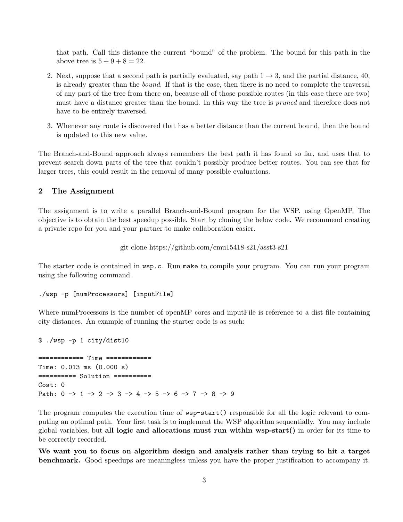that path. Call this distance the current "bound" of the problem. The bound for this path in the above tree is  $5 + 9 + 8 = 22$ .

- 2. Next, suppose that a second path is partially evaluated, say path  $1 \rightarrow 3$ , and the partial distance, 40, is already greater than the bound. If that is the case, then there is no need to complete the traversal of any part of the tree from there on, because all of those possible routes (in this case there are two) must have a distance greater than the bound. In this way the tree is *pruned* and therefore does not have to be entirely traversed.
- 3. Whenever any route is discovered that has a better distance than the current bound, then the bound is updated to this new value.

The Branch-and-Bound approach always remembers the best path it has found so far, and uses that to prevent search down parts of the tree that couldn't possibly produce better routes. You can see that for larger trees, this could result in the removal of many possible evaluations.

#### 2 The Assignment

The assignment is to write a parallel Branch-and-Bound program for the WSP, using OpenMP. The objective is to obtain the best speedup possible. Start by cloning the below code. We recommend creating a private repo for you and your partner to make collaboration easier.

git clone https://github.com/cmu15418-s21/asst3-s21

The starter code is contained in  $\text{wsp.c.}$  Run make to compile your program. You can run your program using the following command.

```
./wsp -p [numProcessors] [inputFile]
```
Where numProcessors is the number of openMP cores and inputFile is reference to a dist file containing city distances. An example of running the starter code is as such:

\$ ./wsp -p 1 city/dist10 ============ Time ============ Time: 0.013 ms (0.000 s) ========== Solution ========== Cost: 0 Path: 0 -> 1 -> 2 -> 3 -> 4 -> 5 -> 6 -> 7 -> 8 -> 9

The program computes the execution time of  $\text{usp-start}()$  responsible for all the logic relevant to computing an optimal path. Your first task is to implement the WSP algorithm sequentially. You may include global variables, but all logic and allocations must run within wsp-start() in order for its time to be correctly recorded.

We want you to focus on algorithm design and analysis rather than trying to hit a target benchmark. Good speedups are meaningless unless you have the proper justification to accompany it.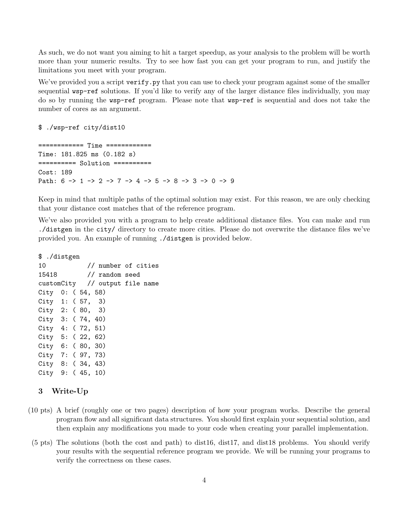As such, we do not want you aiming to hit a target speedup, as your analysis to the problem will be worth more than your numeric results. Try to see how fast you can get your program to run, and justify the limitations you meet with your program.

We've provided you a script verify.py that you can use to check your program against some of the smaller sequential wsp-ref solutions. If you'd like to verify any of the larger distance files individually, you may do so by running the wsp-ref program. Please note that wsp-ref is sequential and does not take the number of cores as an argument.

#### \$ ./wsp-ref city/dist10

============ Time ============ Time: 181.825 ms (0.182 s) ========== Solution ========== Cost: 189 Path:  $6 \rightarrow 1 \rightarrow 2 \rightarrow 7 \rightarrow 4 \rightarrow 5 \rightarrow 8 \rightarrow 3 \rightarrow 0 \rightarrow 9$ 

Keep in mind that multiple paths of the optimal solution may exist. For this reason, we are only checking that your distance cost matches that of the reference program.

We've also provided you with a program to help create additional distance files. You can make and run ./distgen in the city/ directory to create more cities. Please do not overwrite the distance files we've provided you. An example of running ./distgen is provided below.

\$ ./distgen 10 // number of cities 15418 // random seed customCity // output file name City 0: ( 54, 58) City 1: ( 57, 3) City 2: ( 80, 3) City 3: ( 74, 40) City 4: ( 72, 51) City 5: ( 22, 62) City 6: ( 80, 30) City 7: ( 97, 73) City 8: ( 34, 43) City 9: ( 45, 10)

## 3 Write-Up

- (10 pts) A brief (roughly one or two pages) description of how your program works. Describe the general program flow and all significant data structures. You should first explain your sequential solution, and then explain any modifications you made to your code when creating your parallel implementation.
- (5 pts) The solutions (both the cost and path) to dist16, dist17, and dist18 problems. You should verify your results with the sequential reference program we provide. We will be running your programs to verify the correctness on these cases.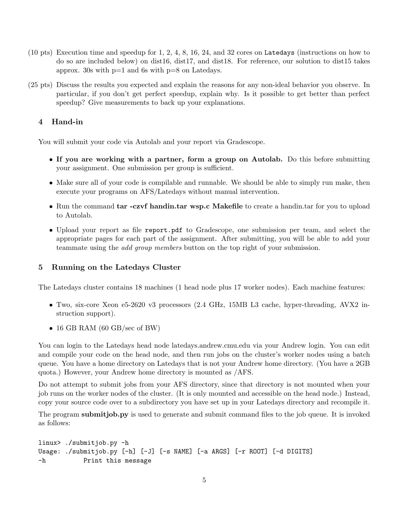- (10 pts) Execution time and speedup for 1, 2, 4, 8, 16, 24, and 32 cores on Latedays (instructions on how to do so are included below) on dist16, dist17, and dist18. For reference, our solution to dist15 takes approx. 30s with  $p=1$  and 6s with  $p=8$  on Latedays.
- (25 pts) Discuss the results you expected and explain the reasons for any non-ideal behavior you observe. In particular, if you don't get perfect speedup, explain why. Is it possible to get better than perfect speedup? Give measurements to back up your explanations.

## 4 Hand-in

You will submit your code via Autolab and your report via Gradescope.

- If you are working with a partner, form a group on Autolab. Do this before submitting your assignment. One submission per group is sufficient.
- Make sure all of your code is compilable and runnable. We should be able to simply run make, then execute your programs on AFS/Latedays without manual intervention.
- Run the command tar -czvf handin.tar wsp.c Makefile to create a handin.tar for you to upload to Autolab.
- Upload your report as file report.pdf to Gradescope, one submission per team, and select the appropriate pages for each part of the assignment. After submitting, you will be able to add your teammate using the add group members button on the top right of your submission.

## 5 Running on the Latedays Cluster

The Latedays cluster contains 18 machines (1 head node plus 17 worker nodes). Each machine features:

- Two, six-core Xeon e5-2620 v3 processors (2.4 GHz, 15MB L3 cache, hyper-threading, AVX2 instruction support).
- 16 GB RAM (60 GB/sec of BW)

You can login to the Latedays head node latedays.andrew.cmu.edu via your Andrew login. You can edit and compile your code on the head node, and then run jobs on the cluster's worker nodes using a batch queue. You have a home directory on Latedays that is not your Andrew home directory. (You have a 2GB quota.) However, your Andrew home directory is mounted as /AFS.

Do not attempt to submit jobs from your AFS directory, since that directory is not mounted when your job runs on the worker nodes of the cluster. (It is only mounted and accessible on the head node.) Instead, copy your source code over to a subdirectory you have set up in your Latedays directory and recompile it.

The program **submitjob.py** is used to generate and submit command files to the job queue. It is invoked as follows:

```
linux> ./submitjob.py -h
Usage: ./submitjob.py [-h] [-J] [-s NAME] [-a ARGS] [-r ROOT] [-d DIGITS]
-h Print this message
```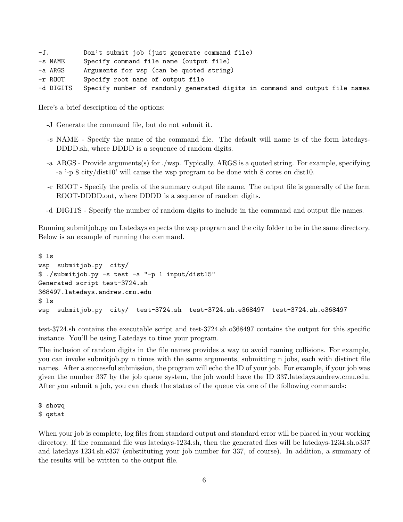| -J.       | Don't submit job (just generate command file)                                |
|-----------|------------------------------------------------------------------------------|
| -s NAME   | Specify command file name (output file)                                      |
| -a ARGS   | Arguments for wsp (can be quoted string)                                     |
| -r ROOT   | Specify root name of output file                                             |
| -d DIGITS | Specify number of randomly generated digits in command and output file names |

Here's a brief description of the options:

- -J Generate the command file, but do not submit it.
- -s NAME Specify the name of the command file. The default will name is of the form latedays-DDDD.sh, where DDDD is a sequence of random digits.
- -a ARGS Provide arguments(s) for ./wsp. Typically, ARGS is a quoted string. For example, specifying -a '-p 8 city/dist10' will cause the wsp program to be done with 8 cores on dist10.
- -r ROOT Specify the prefix of the summary output file name. The output file is generally of the form ROOT-DDDD.out, where DDDD is a sequence of random digits.
- -d DIGITS Specify the number of random digits to include in the command and output file names.

Running submitjob.py on Latedays expects the wsp program and the city folder to be in the same directory. Below is an example of running the command.

```
$ ls
wsp submitjob.py city/
$ ./submitjob.py -s test -a "-p 1 input/dist15"
Generated script test-3724.sh
368497.latedays.andrew.cmu.edu
$ ls
wsp submitjob.py city/ test-3724.sh test-3724.sh.e368497 test-3724.sh.o368497
```
test-3724.sh contains the executable script and test-3724.sh.o368497 contains the output for this specific instance. You'll be using Latedays to time your program.

The inclusion of random digits in the file names provides a way to avoid naming collisions. For example, you can invoke submitjob.py n times with the same arguments, submitting n jobs, each with distinct file names. After a successful submission, the program will echo the ID of your job. For example, if your job was given the number 337 by the job queue system, the job would have the ID 337.latedays.andrew.cmu.edu. After you submit a job, you can check the status of the queue via one of the following commands:

\$ showq \$ qstat

When your job is complete, log files from standard output and standard error will be placed in your working directory. If the command file was latedays-1234.sh, then the generated files will be latedays-1234.sh.o337 and latedays-1234.sh.e337 (substituting your job number for 337, of course). In addition, a summary of the results will be written to the output file.